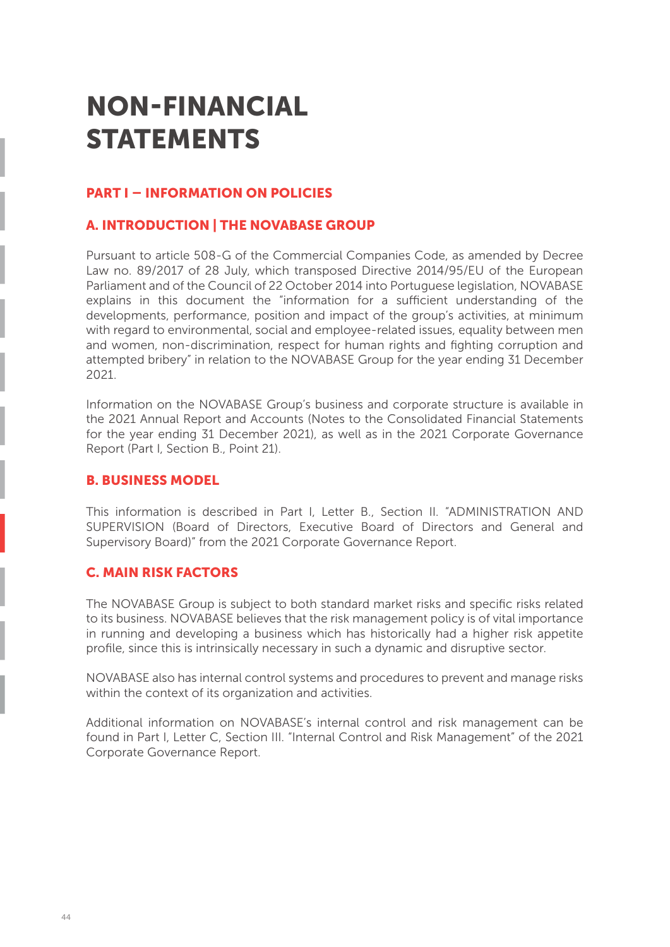# **NON-FINANCIAL STATEMENTS**

# **PART I – INFORMATION ON POLICIES**

# **A. INTRODUCTION | THE NOVABASE GROUP**

Pursuant to article 508-G of the Commercial Companies Code, as amended by Decree Law no. 89/2017 of 28 July, which transposed Directive 2014/95/EU of the European Parliament and of the Council of 22 October 2014 into Portuguese legislation, NOVABASE explains in this document the "information for a sufficient understanding of the developments, performance, position and impact of the group's activities, at minimum with regard to environmental, social and employee-related issues, equality between men and women, non-discrimination, respect for human rights and fighting corruption and attempted bribery" in relation to the NOVABASE Group for the year ending 31 December 2021.

Information on the NOVABASE Group's business and corporate structure is available in the 2021 Annual Report and Accounts (Notes to the Consolidated Financial Statements for the year ending 31 December 2021), as well as in the 2021 Corporate Governance Report (Part I, Section B., Point 21).

# **B. BUSINESS MODEL**

This information is described in Part I, Letter B., Section II. "ADMINISTRATION AND SUPERVISION (Board of Directors, Executive Board of Directors and General and Supervisory Board)" from the 2021 Corporate Governance Report.

# **C. MAIN RISK FACTORS**

The NOVABASE Group is subject to both standard market risks and specific risks related to its business. NOVABASE believes that the risk management policy is of vital importance in running and developing a business which has historically had a higher risk appetite profile, since this is intrinsically necessary in such a dynamic and disruptive sector.

NOVABASE also has internal control systems and procedures to prevent and manage risks within the context of its organization and activities.

Additional information on NOVABASE's internal control and risk management can be found in Part I, Letter C, Section III. "Internal Control and Risk Management" of the 2021 Corporate Governance Report.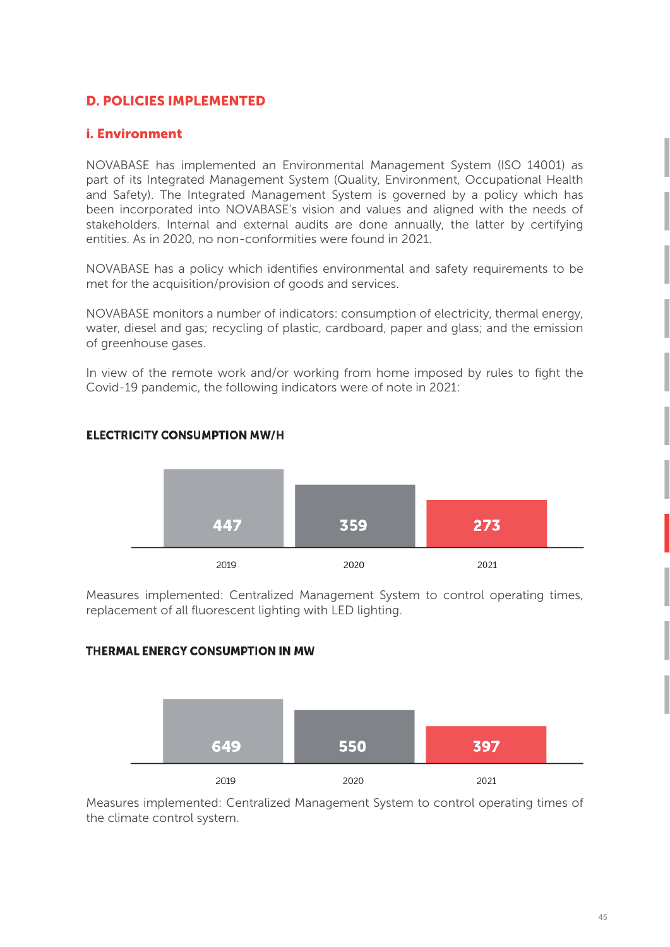# **D. POLICIES IMPLEMENTED**

# **i. Environment**

NOVABASE has implemented an Environmental Management System (ISO 14001) as part of its Integrated Management System (Quality, Environment, Occupational Health and Safety). The Integrated Management System is governed by a policy which has been incorporated into NOVABASE's vision and values and aligned with the needs of stakeholders. Internal and external audits are done annually, the latter by certifying entities. As in 2020, no non-conformities were found in 2021.

NOVABASE has a policy which identifies environmental and safety requirements to be met for the acquisition/provision of goods and services.

NOVABASE monitors a number of indicators: consumption of electricity, thermal energy, water, diesel and gas; recycling of plastic, cardboard, paper and glass; and the emission of greenhouse gases.

In view of the remote work and/or working from home imposed by rules to fight the Covid-19 pandemic, the following indicators were of note in 2021:



# **ELECTRICITY CONSUMPTION MW/H**

Measures implemented: Centralized Management System to control operating times, replacement of all fluorescent lighting with LED lighting.

# THERMAL ENERGY CONSUMPTION IN MW



Measures implemented: Centralized Management System to control operating times of the climate control system.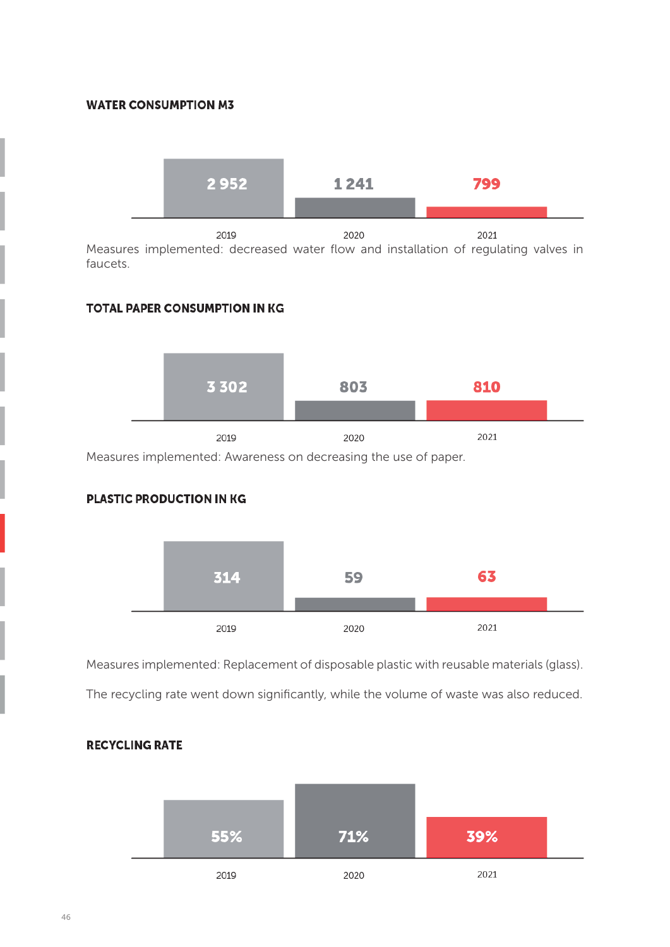#### **WATER CONSUMPTION M3**



Measures implemented: decreased water flow and installation of regulating valves in faucets.

#### **TOTAL PAPER CONSUMPTION IN KG**



Measures implemented: Awareness on decreasing the use of paper.

#### **PLASTIC PRODUCTION IN KG**



Measures implemented: Replacement of disposable plastic with reusable materials (glass).

The recycling rate went down significantly, while the volume of waste was also reduced.



### **RECYCLING RATE**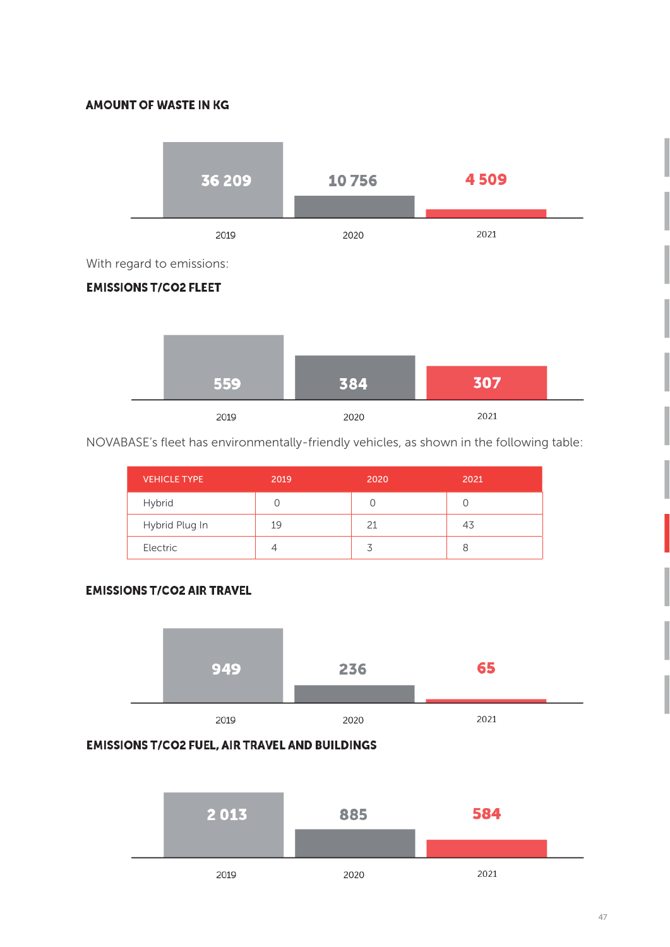#### **AMOUNT OF WASTE IN KG**



With regard to emissions:

# **EMISSIONS T/CO2 FLEET**



NOVABASE's fleet has environmentally-friendly vehicles, as shown in the following table:

| <b>VEHICLE TYPE</b> | 2019 | 2020 | 2021 |
|---------------------|------|------|------|
| Hybrid              |      |      |      |
| Hybrid Plug In      | 19   | 21   | 43   |
| Electric            | 4    |      | 8    |

# **EMISSIONS T/CO2 AIR TRAVEL**



#### **EMISSIONS T/CO2 FUEL, AIR TRAVEL AND BUILDINGS**

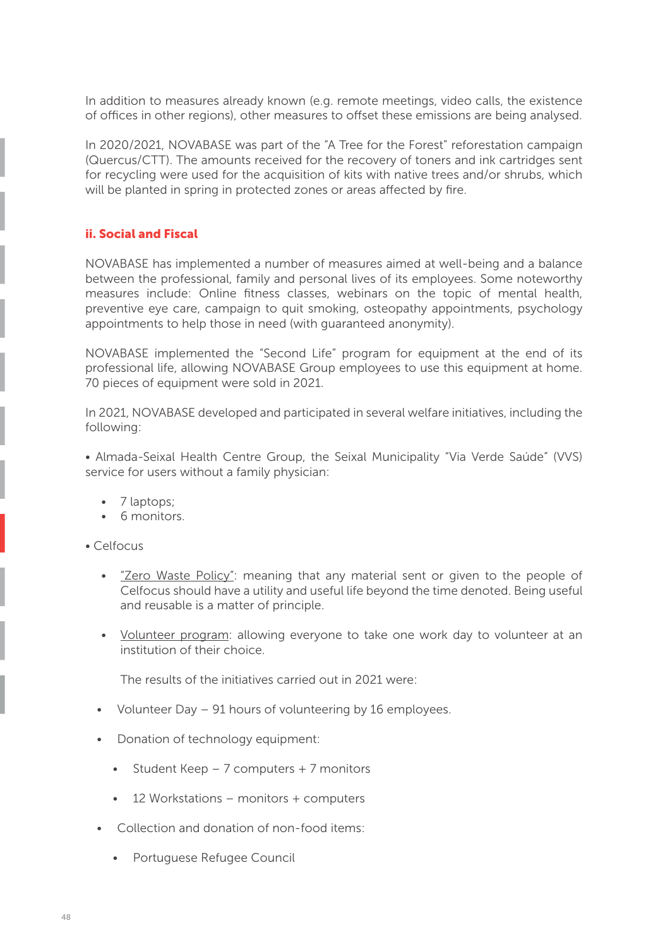In addition to measures already known (e.g. remote meetings, video calls, the existence of offices in other regions), other measures to offset these emissions are being analysed.

In 2020/2021, NOVABASE was part of the "A Tree for the Forest" reforestation campaign (Quercus/CTT). The amounts received for the recovery of toners and ink cartridges sent for recycling were used for the acquisition of kits with native trees and/or shrubs, which will be planted in spring in protected zones or areas affected by fire.

#### **ii. Social and Fiscal**

NOVABASE has implemented a number of measures aimed at well-being and a balance between the professional, family and personal lives of its employees. Some noteworthy measures include: Online fitness classes, webinars on the topic of mental health, preventive eye care, campaign to quit smoking, osteopathy appointments, psychology appointments to help those in need (with guaranteed anonymity).

NOVABASE implemented the "Second Life" program for equipment at the end of its professional life, allowing NOVABASE Group employees to use this equipment at home. 70 pieces of equipment were sold in 2021.

In 2021, NOVABASE developed and participated in several welfare initiatives, including the following:

• Almada-Seixal Health Centre Group, the Seixal Municipality "Via Verde Saúde" (VVS) service for users without a family physician:

- 7 laptops:
- 6 monitors.

• Celfocus

- "Zero Waste Policy": meaning that any material sent or given to the people of Celfocus should have a utility and useful life beyond the time denoted. Being useful and reusable is a matter of principle.
- Volunteer program: allowing everyone to take one work day to volunteer at an institution of their choice.

The results of the initiatives carried out in 2021 were:

- Volunteer Day 91 hours of volunteering by 16 employees.
- Donation of technology equipment:
	- Student Keep  $-7$  computers  $+7$  monitors
	- 12 Workstations monitors + computers
- Collection and donation of non-food items:
	- Portuguese Refugee Council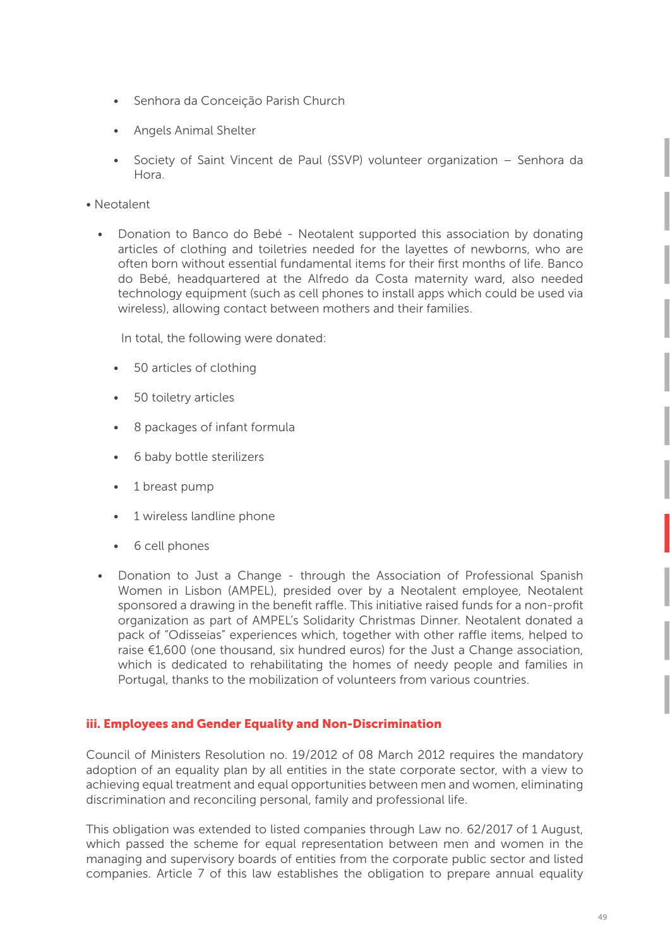- Senhora da Conceição Parish Church
- Angels Animal Shelter
- Society of Saint Vincent de Paul (SSVP) volunteer organization Senhora da Hora.
- Neotalent
	- Donation to Banco do Bebé Neotalent supported this association by donating articles of clothing and toiletries needed for the layettes of newborns, who are often born without essential fundamental items for their first months of life. Banco do Bebé, headquartered at the Alfredo da Costa maternity ward, also needed technology equipment (such as cell phones to install apps which could be used via wireless), allowing contact between mothers and their families.

In total, the following were donated:

- 50 articles of clothing
- 50 toiletry articles
- 8 packages of infant formula
- 6 baby bottle sterilizers
- 1 breast pump
- 1 wireless landline phone
- 6 cell phones
- Donation to Just a Change through the Association of Professional Spanish Women in Lisbon (AMPEL), presided over by a Neotalent employee, Neotalent sponsored a drawing in the benefit raffle. This initiative raised funds for a non-profit organization as part of AMPEL's Solidarity Christmas Dinner. Neotalent donated a pack of "Odisseias" experiences which, together with other raffle items, helped to raise  $\epsilon$ 1,600 (one thousand, six hundred euros) for the Just a Change association, which is dedicated to rehabilitating the homes of needy people and families in Portugal, thanks to the mobilization of volunteers from various countries.

#### **iii. Employees and Gender Equality and Non-Discrimination**

Council of Ministers Resolution no. 19/2012 of 08 March 2012 requires the mandatory adoption of an equality plan by all entities in the state corporate sector, with a view to achieving equal treatment and equal opportunities between men and women, eliminating discrimination and reconciling personal, family and professional life.

This obligation was extended to listed companies through Law no. 62/2017 of 1 August, which passed the scheme for equal representation between men and women in the managing and supervisory boards of entities from the corporate public sector and listed companies. Article 7 of this law establishes the obligation to prepare annual equality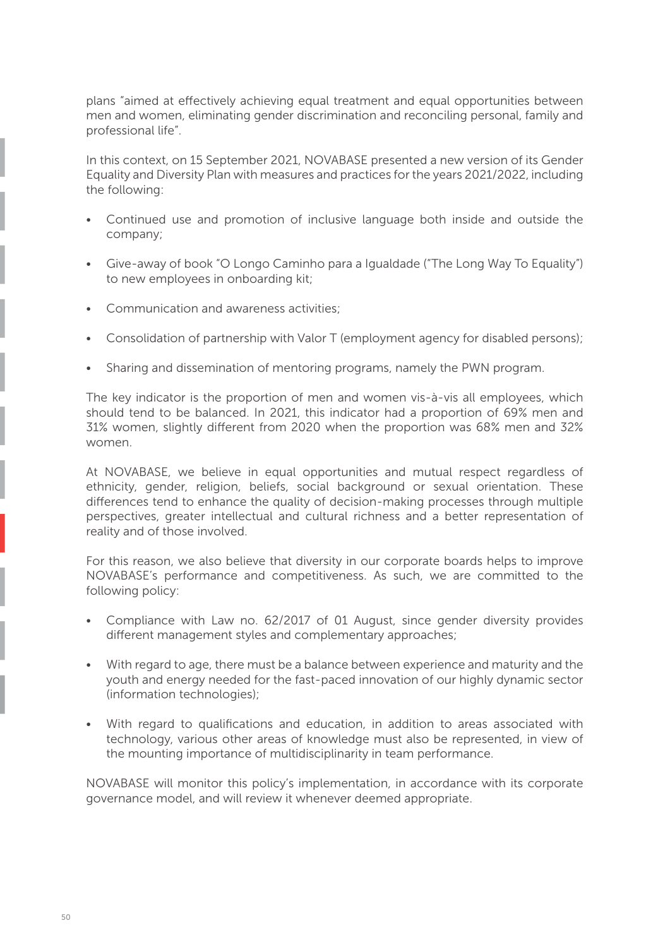plans "aimed at effectively achieving equal treatment and equal opportunities between men and women, eliminating gender discrimination and reconciling personal, family and professional life".

In this context, on 15 September 2021, NOVABASE presented a new version of its Gender Equality and Diversity Plan with measures and practices for the years 2021/2022, including the following:

- Continued use and promotion of inclusive language both inside and outside the company;
- Give-away of book "O Longo Caminho para a Igualdade ("The Long Way To Equality") to new employees in onboarding kit;
- Communication and awareness activities;
- Consolidation of partnership with Valor T (employment agency for disabled persons);
- Sharing and dissemination of mentoring programs, namely the PWN program.

The key indicator is the proportion of men and women vis-à-vis all employees, which should tend to be balanced. In 2021, this indicator had a proportion of 69% men and 31% women, slightly different from 2020 when the proportion was 68% men and 32% women.

At NOVABASE, we believe in equal opportunities and mutual respect regardless of ethnicity, gender, religion, beliefs, social background or sexual orientation. These differences tend to enhance the quality of decision-making processes through multiple perspectives, greater intellectual and cultural richness and a better representation of reality and of those involved.

For this reason, we also believe that diversity in our corporate boards helps to improve NOVABASE's performance and competitiveness. As such, we are committed to the following policy:

- Compliance with Law no. 62/2017 of 01 August, since gender diversity provides different management styles and complementary approaches;
- With regard to age, there must be a balance between experience and maturity and the youth and energy needed for the fast-paced innovation of our highly dynamic sector (information technologies);
- With regard to qualifications and education, in addition to areas associated with technology, various other areas of knowledge must also be represented, in view of the mounting importance of multidisciplinarity in team performance.

NOVABASE will monitor this policy's implementation, in accordance with its corporate governance model, and will review it whenever deemed appropriate.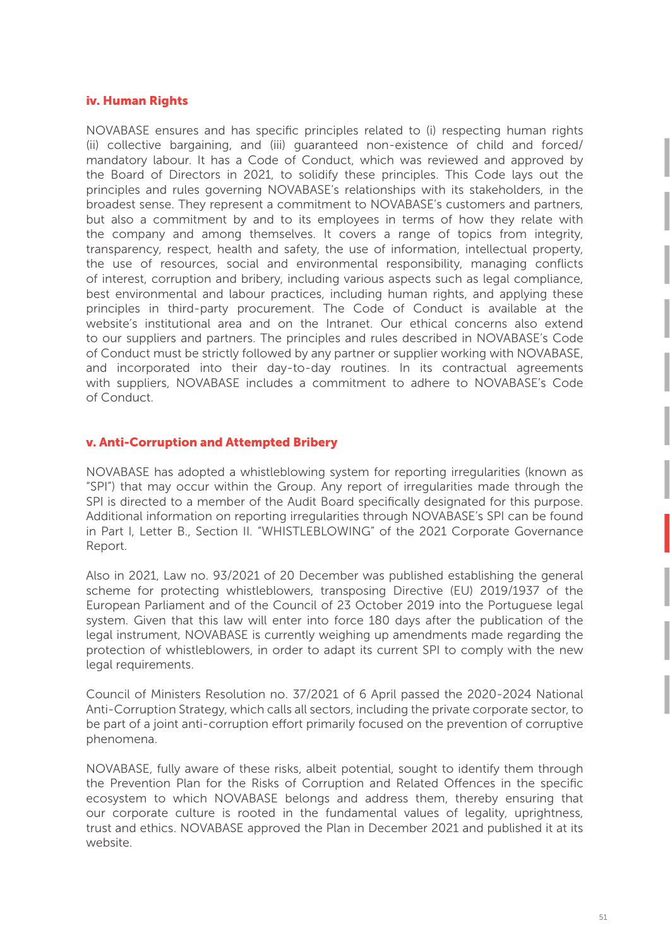#### **iv. Human Rights**

NOVABASE ensures and has specific principles related to (i) respecting human rights (ii) collective bargaining, and (iii) guaranteed non-existence of child and forced/ mandatory labour. It has a Code of Conduct, which was reviewed and approved by the Board of Directors in 2021, to solidify these principles. This Code lays out the principles and rules governing NOVABASE's relationships with its stakeholders, in the broadest sense. They represent a commitment to NOVABASE's customers and partners, but also a commitment by and to its employees in terms of how they relate with the company and among themselves. It covers a range of topics from integrity, transparency, respect, health and safety, the use of information, intellectual property, the use of resources, social and environmental responsibility, managing conflicts of interest, corruption and bribery, including various aspects such as legal compliance, best environmental and labour practices, including human rights, and applying these principles in third-party procurement. The Code of Conduct is available at the website's institutional area and on the Intranet. Our ethical concerns also extend to our suppliers and partners. The principles and rules described in NOVABASE's Code of Conduct must be strictly followed by any partner or supplier working with NOVABASE, and incorporated into their day-to-day routines. In its contractual agreements with suppliers, NOVABASE includes a commitment to adhere to NOVABASE's Code of Conduct.

#### **v. Anti-Corruption and Attempted Bribery**

NOVABASE has adopted a whistleblowing system for reporting irregularities (known as "SPI") that may occur within the Group. Any report of irregularities made through the SPI is directed to a member of the Audit Board specifically designated for this purpose. Additional information on reporting irregularities through NOVABASE's SPI can be found in Part I, Letter B., Section II. "WHISTLEBLOWING" of the 2021 Corporate Governance Report.

Also in 2021, Law no. 93/2021 of 20 December was published establishing the general scheme for protecting whistleblowers, transposing Directive (EU) 2019/1937 of the European Parliament and of the Council of 23 October 2019 into the Portuguese legal system. Given that this law will enter into force 180 days after the publication of the legal instrument, NOVABASE is currently weighing up amendments made regarding the protection of whistleblowers, in order to adapt its current SPI to comply with the new legal requirements.

Council of Ministers Resolution no. 37/2021 of 6 April passed the 2020-2024 National Anti-Corruption Strategy, which calls all sectors, including the private corporate sector, to be part of a joint anti-corruption effort primarily focused on the prevention of corruptive phenomena.

NOVABASE, fully aware of these risks, albeit potential, sought to identify them through the Prevention Plan for the Risks of Corruption and Related Offences in the specific ecosystem to which NOVABASE belongs and address them, thereby ensuring that our corporate culture is rooted in the fundamental values of legality, uprightness, trust and ethics. NOVABASE approved the Plan in December 2021 and published it at its website.